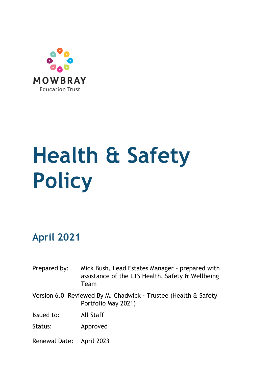

# **Health & Safety Policy**

# **April 2021**

- Prepared by: Mick Bush, Lead Estates Manager prepared with assistance of the LTS Health, Safety & Wellbeing Team
- Version 6.0 Reviewed By M. Chadwick Trustee (Health & Safety Portfolio May 2021)

Issued to: All Staff

Status: Approved

Renewal Date: April 2023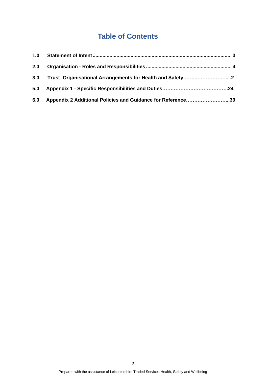# **Table of Contents**

| 2.0 |                                                             |  |
|-----|-------------------------------------------------------------|--|
| 3.0 |                                                             |  |
|     |                                                             |  |
| 6.0 | Appendix 2 Additional Policies and Guidance for Reference39 |  |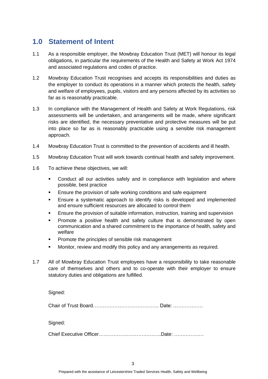## <span id="page-2-0"></span>**1.0 Statement of Intent**

- 1.1 As a responsible employer, the Mowbray Education Trust (MET) will honour its legal obligations, in particular the requirements of the Health and Safety at Work Act 1974 and associated regulations and codes of practice.
- 1.2 Mowbray Education Trust recognises and accepts its responsibilities and duties as the employer to conduct its operations in a manner which protects the health, safety and welfare of employees, pupils, visitors and any persons affected by its activities so far as is reasonably practicable.
- 1.3 In compliance with the Management of Health and Safety at Work Regulations, risk assessments will be undertaken, and arrangements will be made, where significant risks are identified, the necessary preventative and protective measures will be put into place so far as is reasonably practicable using a sensible risk management approach.
- 1.4 Mowbray Education Trust is committed to the prevention of accidents and ill health.
- 1.5 Mowbray Education Trust will work towards continual health and safety improvement.
- 1.6 To achieve these objectives, we will:
	- Conduct all our activities safely and in compliance with legislation and where possible, best practice
	- Ensure the provision of safe working conditions and safe equipment
	- Ensure a systematic approach to identify risks is developed and implemented and ensure sufficient resources are allocated to control them
	- Ensure the provision of suitable information, instruction, training and supervision
	- Promote a positive health and safety culture that is demonstrated by open communication and a shared commitment to the importance of health, safety and welfare
	- Promote the principles of sensible risk management
	- Monitor, review and modify this policy and any arrangements as required.
- 1.7 All of Mowbray Education Trust employees have a responsibility to take reasonable care of themselves and others and to co-operate with their employer to ensure statutory duties and obligations are fulfilled.

Signed:

Chair of Trust Board…………………………………. Date: ………………

Signed:

Chief Executive Officer………………………………..Date: ………………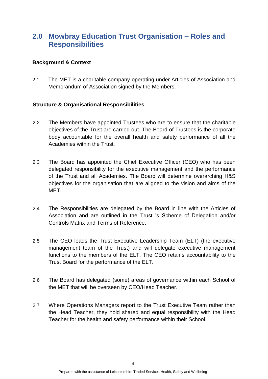## <span id="page-3-0"></span>**2.0 Mowbray Education Trust Organisation – Roles and Responsibilities**

#### **Background & Context**

2.1 The MET is a charitable company operating under Articles of Association and Memorandum of Association signed by the Members.

#### **Structure & Organisational Responsibilities**

- 2.2 The Members have appointed Trustees who are to ensure that the charitable objectives of the Trust are carried out. The Board of Trustees is the corporate body accountable for the overall health and safety performance of all the Academies within the Trust.
- 2.3 The Board has appointed the Chief Executive Officer (CEO) who has been delegated responsibility for the executive management and the performance of the Trust and all Academies. The Board will determine overarching H&S objectives for the organisation that are aligned to the vision and aims of the MET.
- 2.4 The Responsibilities are delegated by the Board in line with the Articles of Association and are outlined in the Trust 's Scheme of Delegation and/or Controls Matrix and Terms of Reference.
- 2.5 The CEO leads the Trust Executive Leadership Team (ELT) (the executive management team of the Trust) and will delegate executive management functions to the members of the ELT. The CEO retains accountability to the Trust Board for the performance of the ELT.
- 2.6 The Board has delegated (some) areas of governance within each School of the MET that will be overseen by CEO/Head Teacher.
- 2.7 Where Operations Managers report to the Trust Executive Team rather than the Head Teacher, they hold shared and equal responsibility with the Head Teacher for the health and safety performance within their School.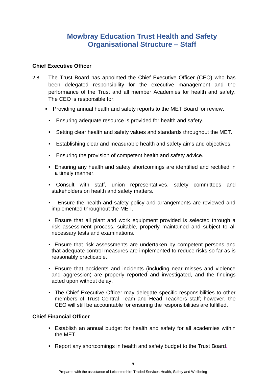## **Mowbray Education Trust Health and Safety Organisational Structure – Staff**

#### **Chief Executive Officer**

- 2.8 The Trust Board has appointed the Chief Executive Officer (CEO) who has been delegated responsibility for the executive management and the performance of the Trust and all member Academies for health and safety. The CEO is responsible for:
	- Providing annual health and safety reports to the MET Board for review.
		- **Ensuring adequate resource is provided for health and safety.**
		- Setting clear health and safety values and standards throughout the MET.
		- **Establishing clear and measurable health and safety aims and objectives.**
		- **Ensuring the provision of competent health and safety advice.**
		- **Ensuring any health and safety shortcomings are identified and rectified in** a timely manner.
		- Consult with staff, union representatives, safety committees and stakeholders on health and safety matters.
		- Ensure the health and safety policy and arrangements are reviewed and implemented throughout the MET.
	- **Ensure that all plant and work equipment provided is selected through a** risk assessment process, suitable, properly maintained and subject to all necessary tests and examinations.
	- **Ensure that risk assessments are undertaken by competent persons and** that adequate control measures are implemented to reduce risks so far as is reasonably practicable.
	- **Ensure that accidents and incidents (including near misses and violence** and aggression) are properly reported and investigated, and the findings acted upon without delay.
	- **The Chief Executive Officer may delegate specific responsibilities to other** members of Trust Central Team and Head Teachers staff; however, the CEO will still be accountable for ensuring the responsibilities are fulfilled.

#### **Chief Financial Officer**

- **Establish an annual budget for health and safety for all academies within** the MET.
- Report any shortcomings in health and safety budget to the Trust Board.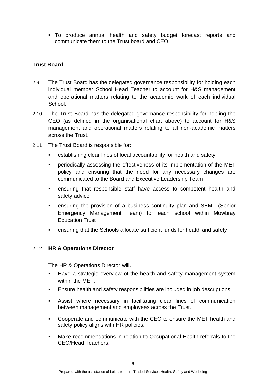▪ To produce annual health and safety budget forecast reports and communicate them to the Trust board and CEO.

#### **Trust Board**

- 2.9 The Trust Board has the delegated governance responsibility for holding each individual member School Head Teacher to account for H&S management and operational matters relating to the academic work of each individual School.
- 2.10 The Trust Board has the delegated governance responsibility for holding the CEO (as defined in the organisational chart above) to account for H&S management and operational matters relating to all non-academic matters across the Trust.
- 2.11 The Trust Board is responsible for:
	- establishing clear lines of local accountability for health and safety
	- periodically assessing the effectiveness of its implementation of the MET policy and ensuring that the need for any necessary changes are communicated to the Board and Executive Leadership Team
	- ensuring that responsible staff have access to competent health and safety advice
	- **EXECT** ensuring the provision of a business continuity plan and SEMT (Senior Emergency Management Team) for each school within Mowbray Education Trust
	- ensuring that the Schools allocate sufficient funds for health and safety

#### 2.12 **HR & Operations Director**

The HR & Operations Director will**.**

- Have a strategic overview of the health and safety management system within the MET.
- Ensure health and safety responsibilities are included in job descriptions.
- Assist where necessary in facilitating clear lines of communication between management and employees across the Trust.
- Cooperate and communicate with the CEO to ensure the MET health and safety policy aligns with HR policies.
- Make recommendations in relation to Occupational Health referrals to the CEO/Head Teachers.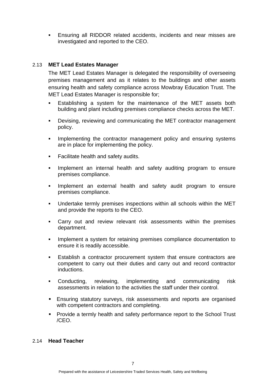Ensuring all RIDDOR related accidents, incidents and near misses are investigated and reported to the CEO.

#### 2.13 **MET Lead Estates Manager**

The MET Lead Estates Manager is delegated the responsibility of overseeing premises management and as it relates to the buildings and other assets ensuring health and safety compliance across Mowbray Education Trust. The MET Lead Estates Manager is responsible for;

- **E** Establishing a system for the maintenance of the MET assets both building and plant including premises compliance checks across the MET.
- **•** Devising, reviewing and communicating the MET contractor management policy.
- **.** Implementing the contractor management policy and ensuring systems are in place for implementing the policy.
- **•** Facilitate health and safety audits.
- Implement an internal health and safety auditing program to ensure premises compliance.
- Implement an external health and safety audit program to ensure premises compliance.
- Undertake termly premises inspections within all schools within the MET and provide the reports to the CEO.
- Carry out and review relevant risk assessments within the premises department.
- **•** Implement a system for retaining premises compliance documentation to ensure it is readily accessible.
- Establish a contractor procurement system that ensure contractors are competent to carry out their duties and carry out and record contractor inductions.
- Conducting, reviewing, implementing and communicating risk assessments in relation to the activities the staff under their control.
- **Ensuring statutory surveys, risk assessments and reports are organised** with competent contractors and completing.
- Provide a termly health and safety performance report to the School Trust /CEO.

#### 2.14 **Head Teacher**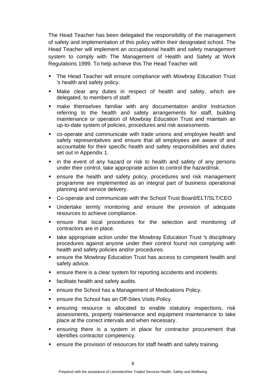The Head Teacher has been delegated the responsibility of the management of safety and implementation of this policy within their designated school. The Head Teacher will implement an occupational health and safety management system to comply with The Management of Health and Safety at Work Regulations 1999. To help achieve this The Head Teacher will:

- The Head Teacher will ensure compliance with Mowbray Education Trust 's health and safety policy.
- Make clear any duties in respect of health and safety, which are delegated, to members of staff.
- **EXECT** make themselves familiar with any documentation and/or instruction referring to the health and safety arrangements for staff, building maintenance or operation of Mowbray Education Trust and maintain an up-to-date system of policies, procedures and risk assessments.
- co-operate and communicate with trade unions and employee health and safety representatives and ensure that all employees are aware of and accountable for their specific health and safety responsibilities and duties set out in Appendix 1.
- in the event of any hazard or risk to health and safety of any persons under their control, take appropriate action to control the hazard/risk.
- ensure the health and safety policy, procedures and risk management programme are implemented as an integral part of business operational planning and service delivery.
- Co-operate and communicate with the School Trust Board/ELT/SLT/CEO
- Undertake termly monitoring and ensure the provision of adequate resources to achieve compliance.
- ensure that local procedures for the selection and monitoring of contractors are in place.
- take appropriate action under the Mowbray Education Trust 's disciplinary procedures against anyone under their control found not complying with health and safety policies and/or procedures.
- ensure the Mowbray Education Trust has access to competent health and safety advice.
- ensure there is a clear system for reporting accidents and incidents.
- facilitate health and safety audits.
- ensure the School has a Management of Medications Policy.
- ensure the School has an Off-Sites Visits Policy.
- ensuring resource is allocated to enable statutory inspections, risk assessments, property maintenance and equipment maintenance to take place at the correct intervals and when necessary.
- ensuring there is a system in place for contractor procurement that identifies contractor competency.
- ensure the provision of resources for staff health and safety training.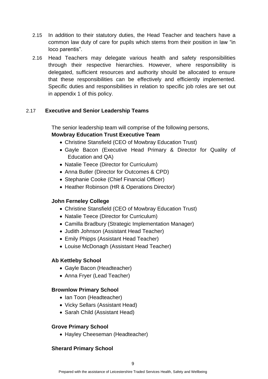- 2.15 In addition to their statutory duties, the Head Teacher and teachers have a common law duty of care for pupils which stems from their position in law "in loco parentis".
- 2.16 Head Teachers may delegate various health and safety responsibilities through their respective hierarchies. However, where responsibility is delegated, sufficient resources and authority should be allocated to ensure that these responsibilities can be effectively and efficiently implemented. Specific duties and responsibilities in relation to specific job roles are set out in appendix 1 of this policy.

#### 2.17 **Executive and Senior Leadership Teams**

The senior leadership team will comprise of the following persons, **Mowbray Education Trust Executive Team**

- Christine Stansfield (CEO of Mowbray Education Trust)
- Gayle Bacon (Executive Head Primary & Director for Quality of Education and QA)
- Natalie Teece (Director for Curriculum)
- Anna Butler (Director for Outcomes & CPD)
- Stephanie Cooke (Chief Financial Officer)
- Heather Robinson (HR & Operations Director)

#### **John Ferneley College**

- Christine Stansfield (CEO of Mowbray Education Trust)
- Natalie Teece (Director for Curriculum)
- Camilla Bradbury (Strategic Implementation Manager)
- Judith Johnson (Assistant Head Teacher)
- Emily Phipps (Assistant Head Teacher)
- Louise McDonagh (Assistant Head Teacher)

#### **Ab Kettleby School**

- Gayle Bacon (Headteacher)
- Anna Fryer (Lead Teacher)

#### **Brownlow Primary School**

- Ian Toon (Headteacher)
- Vicky Sellars (Assistant Head)
- Sarah Child (Assistant Head)

#### **Grove Primary School**

• Hayley Cheeseman (Headteacher)

#### **Sherard Primary School**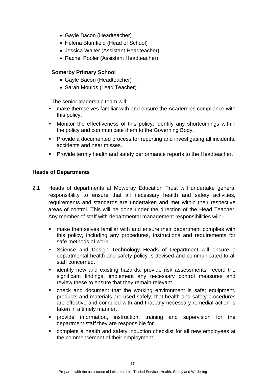- Gayle Bacon (Headteacher)
- Helena Blumfield (Head of School)
- Jessica Walter (Assistant Headteacher)
- Rachel Pooler (Assistant Headteacher)

#### **Somerby Primary School**

- Gayle Bacon (Headteacher)
- Sarah Moulds (Lead Teacher)

The senior leadership team will:

- make themselves familiar with and ensure the Academies compliance with this policy.
- **■** Monitor the effectiveness of this policy, identify any shortcomings within the policy and communicate them to the Governing Body.
- Provide a documented process for reporting and investigating all incidents, accidents and near misses.
- Provide termly health and safety performance reports to the Headteacher.

#### **Heads of Departments**

- 2.1 Heads of departments at Mowbray Education Trust will undertake general responsibility to ensure that all necessary health and safety activities, requirements and standards are undertaken and met within their respective areas of control. This will be done under the direction of the Head Teacher. Any member of staff with departmental management responsibilities will:
	- make themselves familiar with and ensure their department complies with this policy, including any procedures, instructions and requirements for safe methods of work.
	- Science and Design Technology Heads of Department will ensure a departmental health and safety policy is devised and communicated to all staff concerned.
	- **EXTER** identify new and existing hazards, provide risk assessments, record the significant findings, implement any necessary control measures and review these to ensure that they remain relevant.
	- check and document that the working environment is safe; equipment, products and materials are used safely; that health and safety procedures are effective and complied with and that any necessary remedial action is taken in a timely manner.
	- provide information, instruction, training and supervision for the department staff they are responsible for.
	- complete a health and safety induction checklist for all new employees at the commencement of their employment.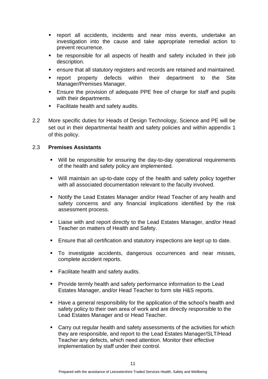- report all accidents, incidents and near miss events, undertake an investigation into the cause and take appropriate remedial action to prevent recurrence.
- be responsible for all aspects of health and safety included in their job description.
- ensure that all statutory registers and records are retained and maintained.
- report property defects within their department to the Site Manager/Premises Manager.
- Ensure the provision of adequate PPE free of charge for staff and pupils with their departments.
- Facilitate health and safety audits.
- 2.2 More specific duties for Heads of Design Technology, Science and PE will be set out in their departmental health and safety policies and within appendix 1 of this policy.

#### 2.3 **Premises Assistants**

- Will be responsible for ensuring the day-to-day operational requirements of the health and safety policy are implemented.
- Will maintain an up-to-date copy of the health and safety policy together with all associated documentation relevant to the faculty involved.
- Notify the Lead Estates Manager and/or Head Teacher of any health and safety concerns and any financial implications identified by the risk assessment process.
- Liaise with and report directly to the Lead Estates Manager, and/or Head Teacher on matters of Health and Safety.
- Ensure that all certification and statutory inspections are kept up to date.
- To investigate accidents, dangerous occurrences and near misses, complete accident reports.
- Facilitate health and safety audits.
- Provide termly health and safety performance information to the Lead Estates Manager, and/or Head Teacher to form site H&S reports.
- Have a general responsibility for the application of the school's health and safety policy to their own area of work and are directly responsible to the Lead Estates Manager and or Head Teacher.
- Carry out regular health and safety assessments of the activities for which they are responsible, and report to the Lead Estates Manager/SLT/Head Teacher any defects, which need attention. Monitor their effective implementation by staff under their control.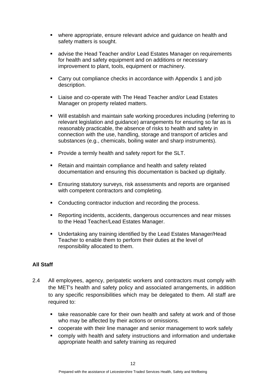- where appropriate, ensure relevant advice and guidance on health and safety matters is sought.
- advise the Head Teacher and/or Lead Estates Manager on requirements for health and safety equipment and on additions or necessary improvement to plant, tools, equipment or machinery.
- Carry out compliance checks in accordance with Appendix 1 and job description.
- Liaise and co-operate with The Head Teacher and/or Lead Estates Manager on property related matters.
- Will establish and maintain safe working procedures including (referring to relevant legislation and guidance) arrangements for ensuring so far as is reasonably practicable, the absence of risks to health and safety in connection with the use, handling, storage and transport of articles and substances (e.g., chemicals, boiling water and sharp instruments).
- Provide a termly health and safety report for the SLT.
- Retain and maintain compliance and health and safety related documentation and ensuring this documentation is backed up digitally.
- **Ensuring statutory surveys, risk assessments and reports are organised** with competent contractors and completing.
- Conducting contractor induction and recording the process.
- Reporting incidents, accidents, dangerous occurrences and near misses to the Head Teacher/Lead Estates Manager.
- Undertaking any training identified by the Lead Estates Manager/Head Teacher to enable them to perform their duties at the level of responsibility allocated to them.

#### **All Staff**

- 2.4 All employees, agency, peripatetic workers and contractors must comply with the MET's health and safety policy and associated arrangements, in addition to any specific responsibilities which may be delegated to them. All staff are required to:
	- take reasonable care for their own health and safety at work and of those who may be affected by their actions or omissions.
	- cooperate with their line manager and senior management to work safely
	- comply with health and safety instructions and information and undertake appropriate health and safety training as required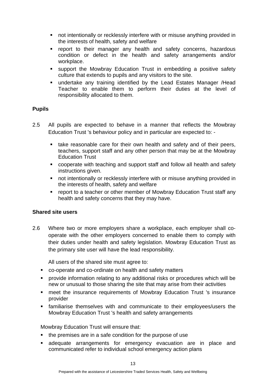- not intentionally or recklessly interfere with or misuse anything provided in the interests of health, safety and welfare
- report to their manager any health and safety concerns, hazardous condition or defect in the health and safety arrangements and/or workplace.
- support the Mowbray Education Trust in embedding a positive safety culture that extends to pupils and any visitors to the site.
- undertake any training identified by the Lead Estates Manager /Head Teacher to enable them to perform their duties at the level of responsibility allocated to them.

#### **Pupils**

- 2.5 All pupils are expected to behave in a manner that reflects the Mowbray Education Trust 's behaviour policy and in particular are expected to: -
	- take reasonable care for their own health and safety and of their peers, teachers, support staff and any other person that may be at the Mowbray Education Trust
	- cooperate with teaching and support staff and follow all health and safety instructions given.
	- not intentionally or recklessly interfere with or misuse anything provided in the interests of health, safety and welfare
	- report to a teacher or other member of Mowbray Education Trust staff any health and safety concerns that they may have.

#### **Shared site users**

2.6 Where two or more employers share a workplace, each employer shall cooperate with the other employers concerned to enable them to comply with their duties under health and safety legislation. Mowbray Education Trust as the primary site user will have the lead responsibility.

All users of the shared site must agree to:

- co-operate and co-ordinate on health and safety matters
- provide information relating to any additional risks or procedures which will be new or unusual to those sharing the site that may arise from their activities
- meet the insurance requirements of Mowbray Education Trust 's insurance provider
- **EXEDENT** familiarise themselves with and communicate to their employees/users the Mowbray Education Trust 's health and safety arrangements

Mowbray Education Trust will ensure that:

- the premises are in a safe condition for the purpose of use
- **Example 2** adequate arrangements for emergency evacuation are in place and communicated refer to individual school emergency action plans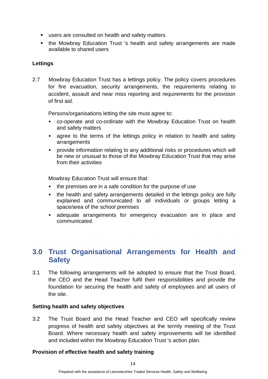- users are consulted on health and safety matters
- the Mowbray Education Trust 's health and safety arrangements are made available to shared users

#### **Lettings**

2.7 Mowbray Education Trust has a lettings policy. The policy covers procedures for fire evacuation, security arrangements, the requirements relating to accident, assault and near miss reporting and requirements for the provision of first aid.

Persons/organisations letting the site must agree to:

- co-operate and co-ordinate with the Mowbray Education Trust on health and safety matters
- agree to the terms of the lettings policy in relation to health and safety arrangements
- provide information relating to any additional risks or procedures which will be new or unusual to those of the Mowbray Education Trust that may arise from their activities

Mowbray Education Trust will ensure that:

- the premises are in a safe condition for the purpose of use
- the health and safety arrangements detailed in the lettings policy are fully explained and communicated to all individuals or groups letting a space/area of the school premises
- adequate arrangements for emergency evacuation are in place and communicated.

## **3.0 Trust Organisational Arrangements for Health and Safety**

3.1 The following arrangements will be adopted to ensure that the Trust Board, the CEO and the Head Teacher fulfil their responsibilities and provide the foundation for securing the health and safety of employees and all users of the site.

#### **Setting health and safety objectives**

3.2 The Trust Board and the Head Teacher and CEO will specifically review progress of health and safety objectives at the termly meeting of the Trust Board. Where necessary health and safety improvements will be identified and included within the Mowbray Education Trust 's action plan.

#### **Provision of effective health and safety training**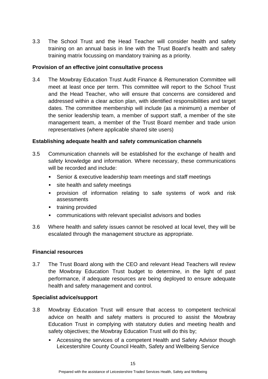3.3 The School Trust and the Head Teacher will consider health and safety training on an annual basis in line with the Trust Board's health and safety training matrix focussing on mandatory training as a priority.

#### **Provision of an effective joint consultative process**

3.4 The Mowbray Education Trust Audit Finance & Remuneration Committee will meet at least once per term. This committee will report to the School Trust and the Head Teacher, who will ensure that concerns are considered and addressed within a clear action plan, with identified responsibilities and target dates. The committee membership will include (as a minimum) a member of the senior leadership team, a member of support staff, a member of the site management team, a member of the Trust Board member and trade union representatives (where applicable shared site users)

#### **Establishing adequate health and safety communication channels**

- 3.5 Communication channels will be established for the exchange of health and safety knowledge and information. Where necessary, these communications will be recorded and include:
	- Senior & executive leadership team meetings and staff meetings
	- site health and safety meetings
	- provision of information relating to safe systems of work and risk assessments
	- training provided
	- communications with relevant specialist advisors and bodies
- 3.6 Where health and safety issues cannot be resolved at local level, they will be escalated through the management structure as appropriate.

#### **Financial resources**

3.7 The Trust Board along with the CEO and relevant Head Teachers will review the Mowbray Education Trust budget to determine, in the light of past performance, if adequate resources are being deployed to ensure adequate health and safety management and control.

#### **Specialist advice/support**

- 3.8 Mowbray Education Trust will ensure that access to competent technical advice on health and safety matters is procured to assist the Mowbray Education Trust in complying with statutory duties and meeting health and safety objectives; the Mowbray Education Trust will do this by;
	- Accessing the services of a competent Health and Safety Advisor though Leicestershire County Council Health, Safety and Wellbeing Service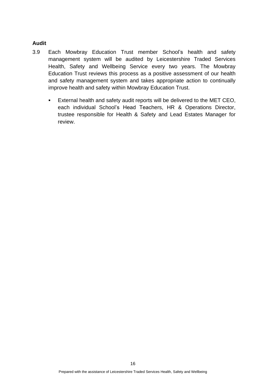#### **Audit**

- 3.9 Each Mowbray Education Trust member School's health and safety management system will be audited by Leicestershire Traded Services Health, Safety and Wellbeing Service every two years. The Mowbray Education Trust reviews this process as a positive assessment of our health and safety management system and takes appropriate action to continually improve health and safety within Mowbray Education Trust.
	- **External health and safety audit reports will be delivered to the MET CEO,** each individual School's Head Teachers, HR & Operations Director, trustee responsible for Health & Safety and Lead Estates Manager for review.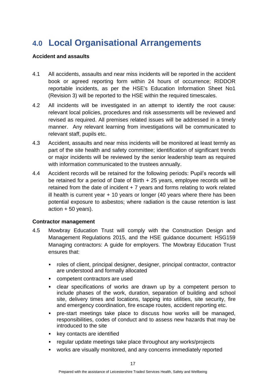# **4.0 Local Organisational Arrangements**

#### **Accident and assaults**

- 4.1 All accidents, assaults and near miss incidents will be reported in the accident book or agreed reporting form within 24 hours of occurrence; RIDDOR reportable incidents, as per the HSE's Education Information Sheet No1 (Revision 3) will be reported to the HSE within the required timescales.
- 4.2 All incidents will be investigated in an attempt to identify the root cause: relevant local policies, procedures and risk assessments will be reviewed and revised as required. All premises related issues will be addressed in a timely manner. Any relevant learning from investigations will be communicated to relevant staff, pupils etc.
- 4.3 Accident, assaults and near miss incidents will be monitored at least termly as part of the site health and safety committee; identification of significant trends or major incidents will be reviewed by the senior leadership team as required with information communicated to the trustees annually.
- 4.4 Accident records will be retained for the following periods: Pupil's records will be retained for a period of Date of Birth + 25 years, employee records will be retained from the date of incident + 7 years and forms relating to work related ill health is current year  $+10$  years or longer (40 years where there has been potential exposure to asbestos; where radiation is the cause retention is last action + 50 years).

#### **Contractor management**

- 4.5 Mowbray Education Trust will comply with the Construction Design and Management Regulations 2015, and the HSE guidance document: HSG159 Managing contractors: A guide for employers. The Mowbray Education Trust ensures that:
	- roles of client, principal designer, designer, principal contractor, contractor are understood and formally allocated
	- competent contractors are used
	- clear specifications of works are drawn up by a competent person to include phases of the work, duration, separation of building and school site, delivery times and locations, tapping into utilities, site security, fire and emergency coordination, fire escape routes, accident reporting etc.
	- pre-start meetings take place to discuss how works will be managed, responsibilities, codes of conduct and to assess new hazards that may be introduced to the site
	- key contacts are identified
	- regular update meetings take place throughout any works/projects
	- works are visually monitored, and any concerns immediately reported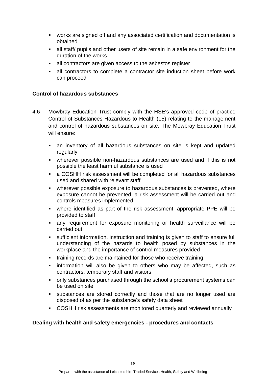- works are signed off and any associated certification and documentation is obtained
- all staff/ pupils and other users of site remain in a safe environment for the duration of the works.
- all contractors are given access to the asbestos register
- all contractors to complete a contractor site induction sheet before work can proceed

#### **Control of hazardous substances**

- 4.6 Mowbray Education Trust comply with the HSE's approved code of practice Control of Substances Hazardous to Health (L5) relating to the management and control of hazardous substances on site. The Mowbray Education Trust will ensure:
	- **•** an inventory of all hazardous substances on site is kept and updated regularly
	- wherever possible non-hazardous substances are used and if this is not possible the least harmful substance is used
	- a COSHH risk assessment will be completed for all hazardous substances used and shared with relevant staff
	- wherever possible exposure to hazardous substances is prevented, where exposure cannot be prevented, a risk assessment will be carried out and controls measures implemented
	- where identified as part of the risk assessment, appropriate PPE will be provided to staff
	- any requirement for exposure monitoring or health surveillance will be carried out
	- sufficient information, instruction and training is given to staff to ensure full understanding of the hazards to health posed by substances in the workplace and the importance of control measures provided
	- training records are maintained for those who receive training
	- **EXED** information will also be given to others who may be affected, such as contractors, temporary staff and visitors
	- only substances purchased through the school's procurement systems can be used on site
	- substances are stored correctly and those that are no longer used are disposed of as per the substance's safety data sheet
	- COSHH risk assessments are monitored quarterly and reviewed annually

#### **Dealing with health and safety emergencies - procedures and contacts**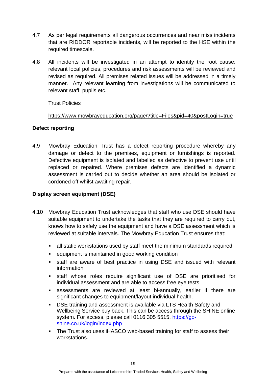- 4.7 As per legal requirements all dangerous occurrences and near miss incidents that are RIDDOR reportable incidents, will be reported to the HSE within the required timescale.
- 4.8 All incidents will be investigated in an attempt to identify the root cause: relevant local policies, procedures and risk assessments will be reviewed and revised as required. All premises related issues will be addressed in a timely manner. Any relevant learning from investigations will be communicated to relevant staff, pupils etc.

Trust Policies

<https://www.mowbrayeducation.org/page/?title=Files&pid=40&postLogin=true>

#### **Defect reporting**

4.9 Mowbray Education Trust has a defect reporting procedure whereby any damage or defect to the premises, equipment or furnishings is reported. Defective equipment is isolated and labelled as defective to prevent use until replaced or repaired. Where premises defects are identified a dynamic assessment is carried out to decide whether an area should be isolated or cordoned off whilst awaiting repair.

#### **Display screen equipment (DSE)**

- 4.10 Mowbray Education Trust acknowledges that staff who use DSE should have suitable equipment to undertake the tasks that they are required to carry out, knows how to safely use the equipment and have a DSE assessment which is reviewed at suitable intervals. The Mowbray Education Trust ensures that:
	- all static workstations used by staff meet the minimum standards required
	- equipment is maintained in good working condition
	- **•** staff are aware of best practice in using DSE and issued with relevant information
	- staff whose roles require significant use of DSE are prioritised for individual assessment and are able to access free eye tests.
	- assessments are reviewed at least bi-annually, earlier if there are significant changes to equipment/layout individual health.
	- DSE training and assessment is available via LTS Health Safety and Wellbeing Service buy back. This can be access through the SHINE online system. For access, please call 0116 305 5515. [https://go](https://go-shine.co.uk/login/index.php)[shine.co.uk/login/index.php](https://go-shine.co.uk/login/index.php)
	- The Trust also uses iHASCO web-based training for staff to assess their workstations.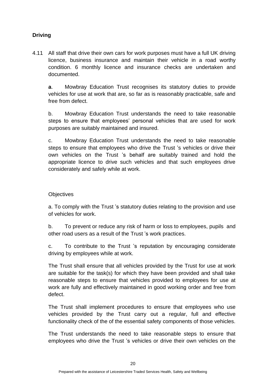#### **Driving**

4.11 All staff that drive their own cars for work purposes must have a full UK driving licence, business insurance and maintain their vehicle in a road worthy condition. 6 monthly licence and insurance checks are undertaken and documented.

**a**. Mowbray Education Trust recognises its statutory duties to provide vehicles for use at work that are, so far as is reasonably practicable, safe and free from defect.

b. Mowbray Education Trust understands the need to take reasonable steps to ensure that employees' personal vehicles that are used for work purposes are suitably maintained and insured.

c. Mowbray Education Trust understands the need to take reasonable steps to ensure that employees who drive the Trust 's vehicles or drive their own vehicles on the Trust 's behalf are suitably trained and hold the appropriate licence to drive such vehicles and that such employees drive considerately and safely while at work.

#### **Objectives**

a. To comply with the Trust 's statutory duties relating to the provision and use of vehicles for work.

b. To prevent or reduce any risk of harm or loss to employees, pupils and other road users as a result of the Trust 's work practices.

c. To contribute to the Trust 's reputation by encouraging considerate driving by employees while at work.

The Trust shall ensure that all vehicles provided by the Trust for use at work are suitable for the task(s) for which they have been provided and shall take reasonable steps to ensure that vehicles provided to employees for use at work are fully and effectively maintained in good working order and free from defect.

The Trust shall implement procedures to ensure that employees who use vehicles provided by the Trust carry out a regular, full and effective functionality check of the of the essential safety components of those vehicles.

The Trust understands the need to take reasonable steps to ensure that employees who drive the Trust 's vehicles or drive their own vehicles on the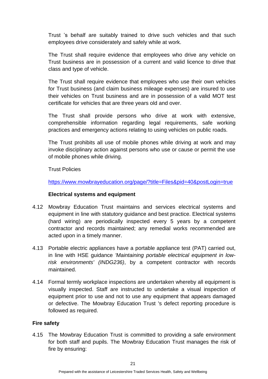Trust 's behalf are suitably trained to drive such vehicles and that such employees drive considerately and safely while at work.

The Trust shall require evidence that employees who drive any vehicle on Trust business are in possession of a current and valid licence to drive that class and type of vehicle.

The Trust shall require evidence that employees who use their own vehicles for Trust business (and claim business mileage expenses) are insured to use their vehicles on Trust business and are in possession of a valid MOT test certificate for vehicles that are three years old and over.

The Trust shall provide persons who drive at work with extensive, comprehensible information regarding legal requirements, safe working practices and emergency actions relating to using vehicles on public roads.

The Trust prohibits all use of mobile phones while driving at work and may invoke disciplinary action against persons who use or cause or permit the use of mobile phones while driving.

Trust Policies

<https://www.mowbrayeducation.org/page/?title=Files&pid=40&postLogin=true>

#### **Electrical systems and equipment**

- 4.12 Mowbray Education Trust maintains and services electrical systems and equipment in line with statutory guidance and best practice. Electrical systems (hard wiring) are periodically inspected every 5 years by a competent contractor and records maintained; any remedial works recommended are acted upon in a timely manner.
- 4.13 Portable electric appliances have a portable appliance test (PAT) carried out, in line with HSE guidance *'Maintaining portable electrical equipment in lowrisk environments' (INDG236)*, by a competent contractor with records maintained.
- 4.14 Formal termly workplace inspections are undertaken whereby all equipment is visually inspected. Staff are instructed to undertake a visual inspection of equipment prior to use and not to use any equipment that appears damaged or defective. The Mowbray Education Trust 's defect reporting procedure is followed as required.

#### **Fire safety**

4.15 The Mowbray Education Trust is committed to providing a safe environment for both staff and pupils. The Mowbray Education Trust manages the risk of fire by ensuring: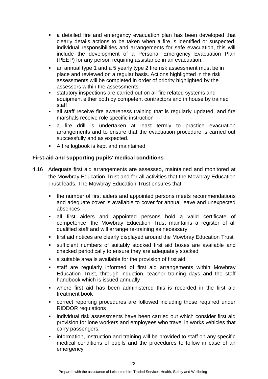- a detailed fire and emergency evacuation plan has been developed that clearly details actions to be taken when a fire is identified or suspected, individual responsibilities and arrangements for safe evacuation, this will include the development of a Personal Emergency Evacuation Plan (PEEP) for any person requiring assistance in an evacuation.
- an annual type 1 and a 5 yearly type 2 fire risk assessment must be in place and reviewed on a regular basis. Actions highlighted in the risk assessments will be completed in order of priority highlighted by the assessors within the assessments.
- statutory inspections are carried out on all fire related systems and equipment either both by competent contractors and in house by trained staff
- **EXED 1** all staff receive fire awareness training that is regularly updated, and fire marshals receive role specific instruction
- **E** a fire drill is undertaken at least termly to practice evacuation arrangements and to ensure that the evacuation procedure is carried out successfully and as expected.
- A fire logbook is kept and maintained

#### **First-aid and supporting pupils' medical conditions**

- 4.16 Adequate first aid arrangements are assessed, maintained and monitored at the Mowbray Education Trust and for all activities that the Mowbray Education Trust leads. The Mowbray Education Trust ensures that:
	- the number of first aiders and appointed persons meets recommendations and adequate cover is available to cover for annual leave and unexpected absences
	- all first aiders and appointed persons hold a valid certificate of competence, the Mowbray Education Trust maintains a register of all qualified staff and will arrange re-training as necessary
	- **EXECT:** first aid notices are clearly displayed around the Mowbray Education Trust
	- sufficient numbers of suitably stocked first aid boxes are available and checked periodically to ensure they are adequately stocked
	- a suitable area is available for the provision of first aid
	- staff are regularly informed of first aid arrangements within Mowbray Education Trust, through induction, teacher training days and the staff handbook which is issued annually
	- where first aid has been administered this is recorded in the first aid treatment book
	- correct reporting procedures are followed including those required under RIDDOR regulations
	- **·** individual risk assessments have been carried out which consider first aid provision for lone workers and employees who travel in works vehicles that carry passengers.
	- **•** information, instruction and training will be provided to staff on any specific medical conditions of pupils and the procedures to follow in case of an emergency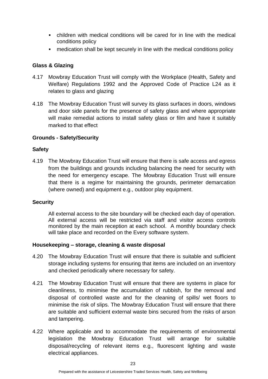- children with medical conditions will be cared for in line with the medical conditions policy
- medication shall be kept securely in line with the medical conditions policy

#### **Glass & Glazing**

- 4.17 Mowbray Education Trust will comply with the Workplace (Health, Safety and Welfare) Regulations 1992 and the Approved Code of Practice L24 as it relates to glass and glazing
- 4.18 The Mowbray Education Trust will survey its glass surfaces in doors, windows and door side panels for the presence of safety glass and where appropriate will make remedial actions to install safety glass or film and have it suitably marked to that effect

#### **Grounds - Safety/Security**

#### **Safety**

4.19 The Mowbray Education Trust will ensure that there is safe access and egress from the buildings and grounds including balancing the need for security with the need for emergency escape. The Mowbray Education Trust will ensure that there is a regime for maintaining the grounds, perimeter demarcation (where owned) and equipment e.g., outdoor play equipment.

#### **Security**

All external access to the site boundary will be checked each day of operation. All external access will be restricted via staff and visitor access controls monitored by the main reception at each school. A monthly boundary check will take place and recorded on the Every software system.

#### **Housekeeping – storage, cleaning & waste disposal**

- 4.20 The Mowbray Education Trust will ensure that there is suitable and sufficient storage including systems for ensuring that items are included on an inventory and checked periodically where necessary for safety.
- 4.21 The Mowbray Education Trust will ensure that there are systems in place for cleanliness, to minimise the accumulation of rubbish, for the removal and disposal of controlled waste and for the cleaning of spills/ wet floors to minimise the risk of slips. The Mowbray Education Trust will ensure that there are suitable and sufficient external waste bins secured from the risks of arson and tampering.
- 4.22 Where applicable and to accommodate the requirements of environmental legislation the Mowbray Education Trust will arrange for suitable disposal/recycling of relevant items e.g., fluorescent lighting and waste electrical appliances.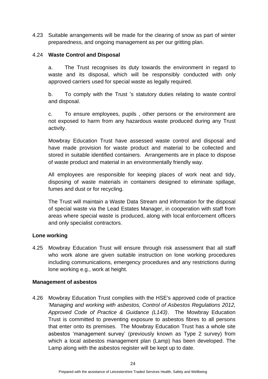4.23 Suitable arrangements will be made for the clearing of snow as part of winter preparedness, and ongoing management as per our gritting plan.

#### 4.24 **Waste Control and Disposal**

a. The Trust recognises its duty towards the environment in regard to waste and its disposal, which will be responsibly conducted with only approved carriers used for special waste as legally required.

b. To comply with the Trust 's statutory duties relating to waste control and disposal.

c. To ensure employees, pupils , other persons or the environment are not exposed to harm from any hazardous waste produced during any Trust activity.

Mowbray Education Trust have assessed waste control and disposal and have made provision for waste product and material to be collected and stored in suitable identified containers. Arrangements are in place to dispose of waste product and material in an environmentally friendly way.

All employees are responsible for keeping places of work neat and tidy, disposing of waste materials in containers designed to eliminate spillage, fumes and dust or for recycling.

The Trust will maintain a Waste Data Stream and information for the disposal of special waste via the Lead Estates Manager, in cooperation with staff from areas where special waste is produced, along with local enforcement officers and only specialist contractors.

#### **Lone working**

4.25 Mowbray Education Trust will ensure through risk assessment that all staff who work alone are given suitable instruction on lone working procedures including communications, emergency procedures and any restrictions during lone working e.g., work at height.

#### **Management of asbestos**

4.26 Mowbray Education Trust complies with the HSE's approved code of practice *'Managing and working with asbestos, Control of Asbestos Regulations 2012, Approved Code of Practice & Guidance (L143)*. The Mowbray Education Trust is committed to preventing exposure to asbestos fibres to all persons that enter onto its premises. The Mowbray Education Trust has a whole site asbestos 'management survey' (previously known as Type 2 survey) from which a local asbestos management plan (Lamp) has been developed. The Lamp along with the asbestos register will be kept up to date.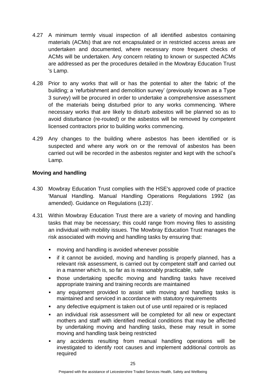- 4.27 A minimum termly visual inspection of all identified asbestos containing materials (ACMs) that are not encapsulated or in restricted access areas are undertaken and documented, where necessary more frequent checks of ACMs will be undertaken. Any concern relating to known or suspected ACMs are addressed as per the procedures detailed in the Mowbray Education Trust 's Lamp.
- 4.28 Prior to any works that will or has the potential to alter the fabric of the building; a 'refurbishment and demolition survey' (previously known as a Type 3 survey) will be procured in order to undertake a comprehensive assessment of the materials being disturbed prior to any works commencing. Where necessary works that are likely to disturb asbestos will be planned so as to avoid disturbance (re-routed) or the asbestos will be removed by competent licensed contractors prior to building works commencing.
- 4.29 Any changes to the building where asbestos has been identified or is suspected and where any work on or the removal of asbestos has been carried out will be recorded in the asbestos register and kept with the school's Lamp.

#### **Moving and handling**

- 4.30 Mowbray Education Trust complies with the HSE's approved code of practice 'Manual Handling. Manual Handling Operations Regulations 1992 (as amended). Guidance on Regulations (L23)'.
- 4.31 Within Mowbray Education Trust there are a variety of moving and handling tasks that may be necessary; this could range from moving files to assisting an individual with mobility issues. The Mowbray Education Trust manages the risk associated with moving and handling tasks by ensuring that:
	- moving and handling is avoided whenever possible
	- **EXT** if it cannot be avoided, moving and handling is properly planned, has a relevant risk assessment, is carried out by competent staff and carried out in a manner which is, so far as is reasonably practicable, safe
	- **.** those undertaking specific moving and handling tasks have received appropriate training and training records are maintained
	- any equipment provided to assist with moving and handling tasks is maintained and serviced in accordance with statutory requirements
	- any defective equipment is taken out of use until repaired or is replaced
	- an individual risk assessment will be completed for all new or expectant mothers and staff with identified medical conditions that may be affected by undertaking moving and handling tasks, these may result in some moving and handling task being restricted
	- any accidents resulting from manual handling operations will be investigated to identify root causes and implement additional controls as required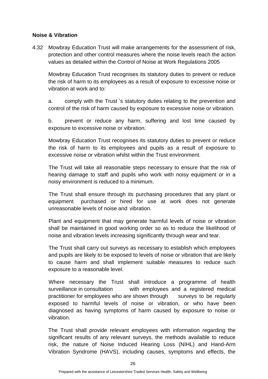#### **Noise & Vibration**

4.32 Mowbray Education Trust will make arrangements for the assessment of risk, protection and other control measures where the noise levels reach the action values as detailed within the Control of Noise at Work Regulations 2005

Mowbray Education Trust recognises its statutory duties to prevent or reduce the risk of harm to its employees as a result of exposure to excessive noise or vibration at work and to:

a. comply with the Trust 's statutory duties relating to the prevention and control of the risk of harm caused by exposure to excessive noise or vibration.

b. prevent or reduce any harm, suffering and lost time caused by exposure to excessive noise or vibration.

Mowbray Education Trust recognises its statutory duties to prevent or reduce the risk of harm to its employees and pupils as a result of exposure to excessive noise or vibration whilst within the Trust environment.

The Trust will take all reasonable steps necessary to ensure that the risk of hearing damage to staff and pupils who work with noisy equipment or in a noisy environment is reduced to a minimum.

The Trust shall ensure through its purchasing procedures that any plant or equipment purchased or hired for use at work does not generate unreasonable levels of noise and vibration.

Plant and equipment that may generate harmful levels of noise or vibration shall be maintained in good working order so as to reduce the likelihood of noise and vibration levels increasing significantly through wear and tear.

The Trust shall carry out surveys as necessary to establish which employees and pupils are likely to be exposed to levels of noise or vibration that are likely to cause harm and shall implement suitable measures to reduce such exposure to a reasonable level.

Where necessary the Trust shall introduce a programme of health surveillance in consultation with employees and a registered medical practitioner for employees who are shown through surveys to be regularly exposed to harmful levels of noise or vibration, or who have been diagnosed as having symptoms of harm caused by exposure to noise or vibration.

The Trust shall provide relevant employees with information regarding the significant results of any relevant surveys, the methods available to reduce risk, the nature of Noise Induced Hearing Loss (NIHL) and Hand-Arm Vibration Syndrome (HAVS), including causes, symptoms and effects, the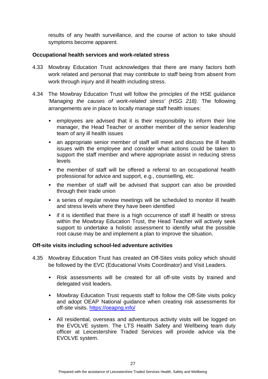results of any health surveillance, and the course of action to take should symptoms become apparent.

#### **Occupational health services and work-related stress**

- 4.33 Mowbray Education Trust acknowledges that there are many factors both work related and personal that may contribute to staff being from absent from work through injury and ill health including stress.
- 4.34 The Mowbray Education Trust will follow the principles of the HSE guidance *'Managing the causes of work-related stress' (HSG 218).* The following arrangements are in place to locally manage staff health issues:
	- employees are advised that it is their responsibility to inform their line manager, the Head Teacher or another member of the senior leadership team of any ill health issues
	- an appropriate senior member of staff will meet and discuss the ill health issues with the employee and consider what actions could be taken to support the staff member and where appropriate assist in reducing stress levels
	- the member of staff will be offered a referral to an occupational health professional for advice and support, e.g., counselling, etc.
	- the member of staff will be advised that support can also be provided through their trade union
	- **EXEDENT A** series of regular review meetings will be scheduled to monitor ill health and stress levels where they have been identified
	- **•** if it is identified that there is a high occurrence of staff ill health or stress within the Mowbray Education Trust, the Head Teacher will actively seek support to undertake a holistic assessment to identify what the possible root cause may be and implement a plan to improve the situation.

#### **Off-site visits including school-led adventure activities**

- 4.35 Mowbray Education Trust has created an Off-Sites visits policy which should be followed by the EVC (Educational Visits Coordinator) and Visit Leaders.
	- Risk assessments will be created for all off-site visits by trained and delegated visit leaders.
	- **■** Mowbray Education Trust requests staff to follow the Off-Site visits policy and adopt OEAP National guidance when creating risk assessments for off-site visits. <https://oeapng.info/>
	- All residential, overseas and adventurous activity visits will be logged on the EVOLVE system. The LTS Health Safety and Wellbeing team duty officer at Leicestershire Traded Services will provide advice via the EVOLVE system.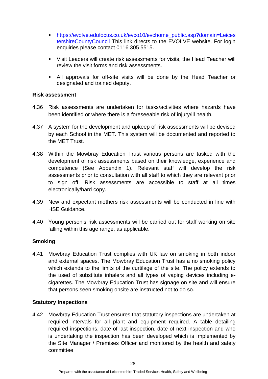- [https://evolve.edufocus.co.uk/evco10/evchome\\_public.asp?domain=Leices](https://evolve.edufocus.co.uk/evco10/evchome_public.asp?domain=LeicestershireCountyCouncil) [tershireCountyCouncil](https://evolve.edufocus.co.uk/evco10/evchome_public.asp?domain=LeicestershireCountyCouncil) This link directs to the EVOLVE website. For login enquiries please contact 0116 305 5515.
- Visit Leaders will create risk assessments for visits, the Head Teacher will review the visit forms and risk assessments.
- All approvals for off-site visits will be done by the Head Teacher or designated and trained deputy.

#### **Risk assessment**

- 4.36 Risk assessments are undertaken for tasks/activities where hazards have been identified or where there is a foreseeable risk of injury/ill health.
- 4.37 A system for the development and upkeep of risk assessments will be devised by each School in the MET. This system will be documented and reported to the MET Trust.
- 4.38 Within the Mowbray Education Trust various persons are tasked with the development of risk assessments based on their knowledge, experience and competence (See Appendix 1). Relevant staff will develop the risk assessments prior to consultation with all staff to which they are relevant prior to sign off. Risk assessments are accessible to staff at all times electronically/hard copy.
- 4.39 New and expectant mothers risk assessments will be conducted in line with HSE Guidance.
- 4.40 Young person's risk assessments will be carried out for staff working on site falling within this age range, as applicable.

#### **Smoking**

4.41 Mowbray Education Trust complies with UK law on smoking in both indoor and external spaces. The Mowbray Education Trust has a no smoking policy which extends to the limits of the curtilage of the site. The policy extends to the used of substitute inhalers and all types of vaping devices including ecigarettes. The Mowbray Education Trust has signage on site and will ensure that persons seen smoking onsite are instructed not to do so.

#### **Statutory Inspections**

4.42 Mowbray Education Trust ensures that statutory inspections are undertaken at required intervals for all plant and equipment required. A table detailing required inspections, date of last inspection, date of next inspection and who is undertaking the inspection has been developed which is implemented by the Site Manager / Premises Officer and monitored by the health and safety committee.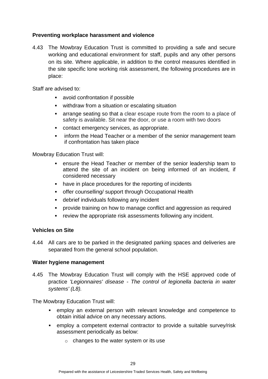#### **Preventing workplace harassment and violence**

4.43 The Mowbray Education Trust is committed to providing a safe and secure working and educational environment for staff, pupils and any other persons on its site. Where applicable, in addition to the control measures identified in the site specific lone working risk assessment, the following procedures are in place:

Staff are advised to:

- avoid confrontation if possible
- withdraw from a situation or escalating situation
- arrange seating so that a clear escape route from the room to a place of safety is available. Sit near the door, or use a room with two doors
- contact emergency services, as appropriate.
- **•** inform the Head Teacher or a member of the senior management team if confrontation has taken place

Mowbray Education Trust will:

- ensure the Head Teacher or member of the senior leadership team to attend the site of an incident on being informed of an incident, if considered necessary
- have in place procedures for the reporting of incidents
- offer counselling/ support through Occupational Health
- debrief individuals following any incident
- provide training on how to manage conflict and aggression as required
- review the appropriate risk assessments following any incident.

#### **Vehicles on Site**

4.44 All cars are to be parked in the designated parking spaces and deliveries are separated from the general school population.

#### **Water hygiene management**

4.45 The Mowbray Education Trust will comply with the HSE approved code of practice *'Legionnaires' disease - The control of legionella bacteria in water systems' (L8).*

The Mowbray Education Trust will:

- employ an external person with relevant knowledge and competence to obtain initial advice on any necessary actions.
- employ a competent external contractor to provide a suitable survey/risk assessment periodically as below:
	- $\circ$  changes to the water system or its use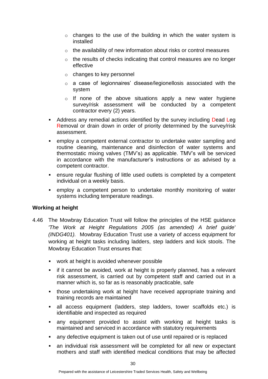- $\circ$  changes to the use of the building in which the water system is installed
- o the availability of new information about risks or control measures
- $\circ$  the results of checks indicating that control measures are no longer effective
- o changes to key personnel
- o a case of legionnaires' disease/legionellosis associated with the system
- $\circ$  If none of the above situations apply a new water hygiene survey/risk assessment will be conducted by a competent contractor every (2) years.
- Address any remedial actions identified by the survey including Dead Leg Removal or drain down in order of priority determined by the survey/risk assessment.
- employ a competent external contractor to undertake water sampling and routine cleaning, maintenance and disinfection of water systems and thermostatic mixing valves (TMV's) as applicable. TMV's will be serviced in accordance with the manufacturer's instructions or as advised by a competent contractor.
- **EXEDENT ENSURE:** ensure regular flushing of little used outlets is completed by a competent individual on a weekly basis.
- employ a competent person to undertake monthly monitoring of water systems including temperature readings.

#### **Working at height**

- 4.46 The Mowbray Education Trust will follow the principles of the HSE guidance *'The Work at Height Regulations 2005 (as amended) A brief guide' (INDG401).* Mowbray Education Trust use a variety of access equipment for working at height tasks including ladders, step ladders and kick stools. The Mowbray Education Trust ensures that:
	- work at height is avoided whenever possible
	- if it cannot be avoided, work at height is properly planned, has a relevant risk assessment, is carried out by competent staff and carried out in a manner which is, so far as is reasonably practicable, safe
	- those undertaking work at height have received appropriate training and training records are maintained
	- all access equipment (ladders, step ladders, tower scaffolds etc.) is identifiable and inspected as required
	- any equipment provided to assist with working at height tasks is maintained and serviced in accordance with statutory requirements
	- any defective equipment is taken out of use until repaired or is replaced
	- **•** an individual risk assessment will be completed for all new or expectant mothers and staff with identified medical conditions that may be affected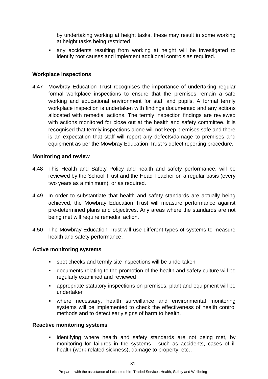by undertaking working at height tasks, these may result in some working at height tasks being restricted

any accidents resulting from working at height will be investigated to identify root causes and implement additional controls as required.

#### **Workplace inspections**

4.47 Mowbray Education Trust recognises the importance of undertaking regular formal workplace inspections to ensure that the premises remain a safe working and educational environment for staff and pupils. A formal termly workplace inspection is undertaken with findings documented and any actions allocated with remedial actions. The termly inspection findings are reviewed with actions monitored for close out at the health and safety committee. It is recognised that termly inspections alone will not keep premises safe and there is an expectation that staff will report any defects/damage to premises and equipment as per the Mowbray Education Trust 's defect reporting procedure.

#### **Monitoring and review**

- 4.48 This Health and Safety Policy and health and safety performance, will be reviewed by the School Trust and the Head Teacher on a regular basis (every two years as a minimum), or as required.
- 4.49 In order to substantiate that health and safety standards are actually being achieved, the Mowbray Education Trust will measure performance against pre-determined plans and objectives. Any areas where the standards are not being met will require remedial action.
- 4.50 The Mowbray Education Trust will use different types of systems to measure health and safety performance.

#### **Active monitoring systems**

- spot checks and termly site inspections will be undertaken
- documents relating to the promotion of the health and safety culture will be regularly examined and reviewed
- appropriate statutory inspections on premises, plant and equipment will be undertaken
- where necessary, health surveillance and environmental monitoring systems will be implemented to check the effectiveness of health control methods and to detect early signs of harm to health.

#### **Reactive monitoring systems**

identifying where health and safety standards are not being met, by monitoring for failures in the systems - such as accidents, cases of ill health (work-related sickness), damage to property, etc…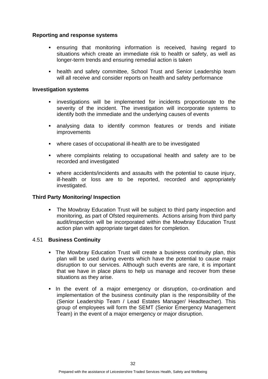#### **Reporting and response systems**

- ensuring that monitoring information is received, having regard to situations which create an immediate risk to health or safety, as well as longer-term trends and ensuring remedial action is taken
- **health and safety committee, School Trust and Senior Leadership team** will all receive and consider reports on health and safety performance

#### **Investigation systems**

- investigations will be implemented for incidents proportionate to the severity of the incident. The investigation will incorporate systems to identify both the immediate and the underlying causes of events
- analysing data to identify common features or trends and initiate improvements
- where cases of occupational ill-health are to be investigated
- where complaints relating to occupational health and safety are to be recorded and investigated
- where accidents/incidents and assaults with the potential to cause injury, ill-health or loss are to be reported, recorded and appropriately investigated.

#### **Third Party Monitoring/ Inspection**

**• The Mowbray Education Trust will be subject to third party inspection and** monitoring, as part of Ofsted requirements. Actions arising from third party audit/inspection will be incorporated within the Mowbray Education Trust action plan with appropriate target dates for completion.

#### 4.51 **Business Continuity**

- The Mowbray Education Trust will create a business continuity plan, this plan will be used during events which have the potential to cause major disruption to our services. Although such events are rare, it is important that we have in place plans to help us manage and recover from these situations as they arise.
- In the event of a major emergency or disruption, co-ordination and implementation of the business continuity plan is the responsibility of the (Senior Leadership Team / Lead Estates Manager/ Headteacher). This group of employees will form the SEMT (Senior Emergency Management Team) in the event of a major emergency or major disruption.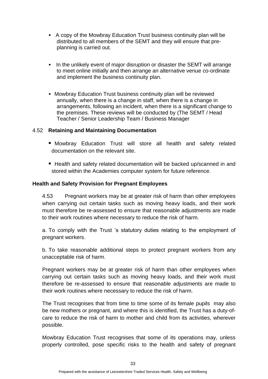- A copy of the Mowbray Education Trust business continuity plan will be distributed to all members of the SEMT and they will ensure that preplanning is carried out.
- ▪In the unlikely event of major disruption or disaster the SEMT will arrange to meet online initially and then arrange an alternative venue co-ordinate and implement the business continuity plan.
- **Mowbray Education Trust business continuity plan will be reviewed** annually, when there is a change in staff, when there is a change in arrangements, following an incident, when there is a significant change to the premises. These reviews will be conducted by (The SEMT / Head Teacher / Senior Leadership Team / Business Manager

#### 4.52 **Retaining and Maintaining Documentation**

- Mowbray Education Trust will store all health and safety related documentation on the relevant site.
- Health and safety related documentation will be backed up/scanned in and stored within the Academies computer system for future reference.

#### **Health and Safety Provision for Pregnant Employees**

4.53 Pregnant workers may be at greater risk of harm than other employees when carrying out certain tasks such as moving heavy loads, and their work must therefore be re-assessed to ensure that reasonable adjustments are made to their work routines where necessary to reduce the risk of harm.

a. To comply with the Trust 's statutory duties relating to the employment of pregnant workers.

b. To take reasonable additional steps to protect pregnant workers from any unacceptable risk of harm.

Pregnant workers may be at greater risk of harm than other employees when carrying out certain tasks such as moving heavy loads, and their work must therefore be re-assessed to ensure that reasonable adjustments are made to their work routines where necessary to reduce the risk of harm.

The Trust recognises that from time to time some of its female pupils may also be new mothers or pregnant, and where this is identified, the Trust has a duty-ofcare to reduce the risk of harm to mother and child from its activities, wherever possible.

Mowbray Education Trust recognises that some of its operations may, unless properly controlled, pose specific risks to the health and safety of pregnant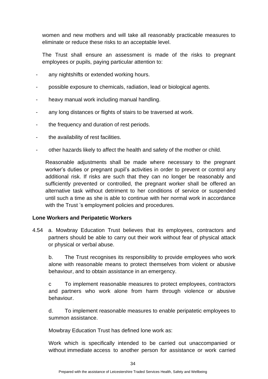women and new mothers and will take all reasonably practicable measures to eliminate or reduce these risks to an acceptable level.

The Trust shall ensure an assessment is made of the risks to pregnant employees or pupils, paying particular attention to:

- any nightshifts or extended working hours.
- possible exposure to chemicals, radiation, lead or biological agents.
- heavy manual work including manual handling.
- any long distances or flights of stairs to be traversed at work.
- the frequency and duration of rest periods.
- the availability of rest facilities.
- other hazards likely to affect the health and safety of the mother or child.

Reasonable adjustments shall be made where necessary to the pregnant worker's duties or pregnant pupil's activities in order to prevent or control any additional risk. If risks are such that they can no longer be reasonably and sufficiently prevented or controlled, the pregnant worker shall be offered an alternative task without detriment to her conditions of service or suspended until such a time as she is able to continue with her normal work in accordance with the Trust 's employment policies and procedures.

#### **Lone Workers and Peripatetic Workers**

4.54 a. Mowbray Education Trust believes that its employees, contractors and partners should be able to carry out their work without fear of physical attack or physical or verbal abuse.

b. The Trust recognises its responsibility to provide employees who work alone with reasonable means to protect themselves from violent or abusive behaviour, and to obtain assistance in an emergency.

c To implement reasonable measures to protect employees, contractors and partners who work alone from harm through violence or abusive behaviour.

d. To implement reasonable measures to enable peripatetic employees to summon assistance.

Mowbray Education Trust has defined lone work as:

Work which is specifically intended to be carried out unaccompanied or without immediate access to another person for assistance or work carried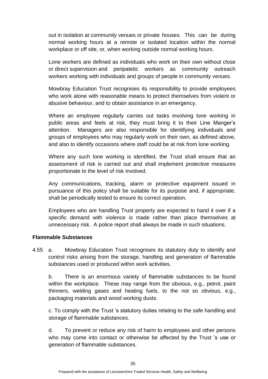out in isolation at community venues or private houses. This can be during normal working hours at a remote or isolated location within the normal workplace or off site, or, when working outside normal working hours.

Lone workers are defined as individuals who work on their own without close or direct supervision and peripatetic workers as community outreach workers working with individuals and groups of people in community venues.

Mowbray Education Trust recognises its responsibility to provide employees who work alone with reasonable means to protect themselves from violent or abusive behaviour, and to obtain assistance in an emergency.

Where an employee regularly carries out tasks involving lone working in public areas and feels at risk, they must bring it to their Line Manger's attention. Managers are also responsible for identifying individuals and groups of employees who may regularly work on their own, as defined above, and also to identify occasions where staff could be at risk from lone working.

Where any such lone working is identified, the Trust shall ensure that an assessment of risk is carried out and shall implement protective measures proportionate to the level of risk involved.

Any communications, tracking, alarm or protective equipment issued in pursuance of this policy shall be suitable for its purpose and, if appropriate, shall be periodically tested to ensure its correct operation.

Employees who are handling Trust property are expected to hand it over if a specific demand with violence is made rather than place themselves at unnecessary risk. A police report shall always be made in such situations.

#### **Flammable Substances**

4.55 a. Mowbray Education Trust recognises its statutory duty to identify and control risks arising from the storage, handling and generation of flammable substances used or produced within work activities.

b. There is an enormous variety of flammable substances to be found within the workplace. These may range from the obvious, e.g., petrol, paint thinners, welding gases and heating fuels, to the not so obvious, e.g., packaging materials and wood working dusts.

c. To comply with the Trust 's statutory duties relating to the safe handling and storage of flammable substances.

d. To prevent or reduce any risk of harm to employees and other persons who may come into contact or otherwise be affected by the Trust 's use or generation of flammable substances.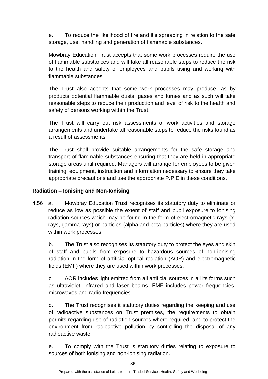e. To reduce the likelihood of fire and it's spreading in relation to the safe storage, use, handling and generation of flammable substances.

Mowbray Education Trust accepts that some work processes require the use of flammable substances and will take all reasonable steps to reduce the risk to the health and safety of employees and pupils using and working with flammable substances.

The Trust also accepts that some work processes may produce, as by products potential flammable dusts, gases and fumes and as such will take reasonable steps to reduce their production and level of risk to the health and safety of persons working within the Trust.

The Trust will carry out risk assessments of work activities and storage arrangements and undertake all reasonable steps to reduce the risks found as a result of assessments.

The Trust shall provide suitable arrangements for the safe storage and transport of flammable substances ensuring that they are held in appropriate storage areas until required. Managers will arrange for employees to be given training, equipment, instruction and information necessary to ensure they take appropriate precautions and use the appropriate P.P.E in these conditions.

#### **Radiation – Ionising and Non-Ionising**

4.56 a. Mowbray Education Trust recognises its statutory duty to eliminate or reduce as low as possible the extent of staff and pupil exposure to ionising radiation sources which may be found in the form of electromagnetic rays (xrays, gamma rays) or particles (alpha and beta particles) where they are used within work processes.

b. The Trust also recognises its statutory duty to protect the eyes and skin of staff and pupils from exposure to hazardous sources of non-ionising radiation in the form of artificial optical radiation (AOR) and electromagnetic fields (EMF) where they are used within work processes.

c. AOR includes light emitted from all artificial sources in all its forms such as ultraviolet, infrared and laser beams. EMF includes power frequencies, microwaves and radio frequencies.

d. The Trust recognises it statutory duties regarding the keeping and use of radioactive substances on Trust premises, the requirements to obtain permits regarding use of radiation sources where required, and to protect the environment from radioactive pollution by controlling the disposal of any radioactive waste.

e. To comply with the Trust 's statutory duties relating to exposure to sources of both ionising and non-ionising radiation.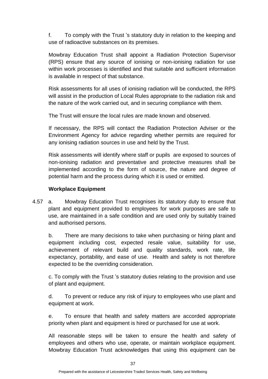f. To comply with the Trust 's statutory duty in relation to the keeping and use of radioactive substances on its premises.

Mowbray Education Trust shall appoint a Radiation Protection Supervisor (RPS) ensure that any source of ionising or non-ionising radiation for use within work processes is identified and that suitable and sufficient information is available in respect of that substance.

Risk assessments for all uses of ionising radiation will be conducted, the RPS will assist in the production of Local Rules appropriate to the radiation risk and the nature of the work carried out, and in securing compliance with them.

The Trust will ensure the local rules are made known and observed.

If necessary, the RPS will contact the Radiation Protection Adviser or the Environment Agency for advice regarding whether permits are required for any ionising radiation sources in use and held by the Trust.

Risk assessments will identify where staff or pupils are exposed to sources of non-ionising radiation and preventative and protective measures shall be implemented according to the form of source, the nature and degree of potential harm and the process during which it is used or emitted.

#### **Workplace Equipment**

4.57 a. Mowbray Education Trust recognises its statutory duty to ensure that plant and equipment provided to employees for work purposes are safe to use, are maintained in a safe condition and are used only by suitably trained and authorised persons.

b. There are many decisions to take when purchasing or hiring plant and equipment including cost, expected resale value, suitability for use, achievement of relevant build and quality standards, work rate, life expectancy, portability, and ease of use. Health and safety is not therefore expected to be the overriding consideration.

c. To comply with the Trust 's statutory duties relating to the provision and use of plant and equipment.

d. To prevent or reduce any risk of injury to employees who use plant and equipment at work.

e. To ensure that health and safety matters are accorded appropriate priority when plant and equipment is hired or purchased for use at work.

All reasonable steps will be taken to ensure the health and safety of employees and others who use, operate, or maintain workplace equipment. Mowbray Education Trust acknowledges that using this equipment can be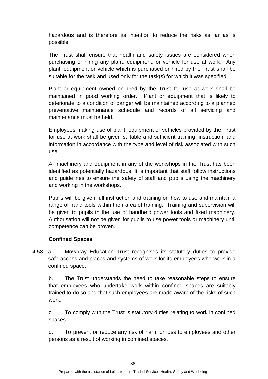hazardous and is therefore its intention to reduce the risks as far as is possible.

The Trust shall ensure that health and safety issues are considered when purchasing or hiring any plant, equipment, or vehicle for use at work. Any plant, equipment or vehicle which is purchased or hired by the Trust shall be suitable for the task and used only for the task(s) for which it was specified.

Plant or equipment owned or hired by the Trust for use at work shall be maintained in good working order. Plant or equipment that is likely to deteriorate to a condition of danger will be maintained according to a planned preventative maintenance schedule and records of all servicing and maintenance must be held.

Employees making use of plant, equipment or vehicles provided by the Trust for use at work shall be given suitable and sufficient training, instruction, and information in accordance with the type and level of risk associated with such use.

All machinery and equipment in any of the workshops in the Trust has been identified as potentially hazardous. It is important that staff follow instructions and guidelines to ensure the safety of staff and pupils using the machinery and working in the workshops.

Pupils will be given full instruction and training on how to use and maintain a range of hand tools within their area of training. Training and supervision will be given to pupils in the use of handheld power tools and fixed machinery. Authorisation will not be given for pupils to use power tools or machinery until competence can be proven.

#### **Confined Spaces**

4.58 a. Mowbray Education Trust recognises its statutory duties to provide safe access and places and systems of work for its employees who work in a confined space.

b. The Trust understands the need to take reasonable steps to ensure that employees who undertake work within confined spaces are suitably trained to do so and that such employees are made aware of the risks of such work.

c. To comply with the Trust 's statutory duties relating to work in confined spaces.

d. To prevent or reduce any risk of harm or loss to employees and other persons as a result of working in confined spaces.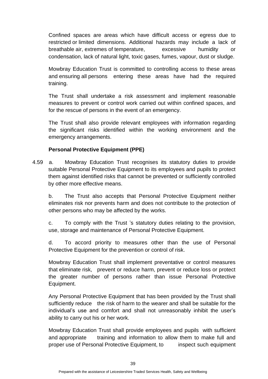Confined spaces are areas which have difficult access or egress due to restricted or limited dimensions. Additional hazards may include a lack of breathable air, extremes of temperature, excessive humidity or condensation, lack of natural light, toxic gases, fumes, vapour, dust or sludge.

Mowbray Education Trust is committed to controlling access to these areas and ensuring all persons entering these areas have had the required training.

The Trust shall undertake a risk assessment and implement reasonable measures to prevent or control work carried out within confined spaces, and for the rescue of persons in the event of an emergency.

The Trust shall also provide relevant employees with information regarding the significant risks identified within the working environment and the emergency arrangements.

#### **Personal Protective Equipment (PPE)**

4.59 a. Mowbray Education Trust recognises its statutory duties to provide suitable Personal Protective Equipment to its employees and pupils to protect them against identified risks that cannot be prevented or sufficiently controlled by other more effective means.

b. The Trust also accepts that Personal Protective Equipment neither eliminates risk nor prevents harm and does not contribute to the protection of other persons who may be affected by the works.

c. To comply with the Trust 's statutory duties relating to the provision, use, storage and maintenance of Personal Protective Equipment.

d. To accord priority to measures other than the use of Personal Protective Equipment for the prevention or control of risk.

Mowbray Education Trust shall implement preventative or control measures that eliminate risk, prevent or reduce harm, prevent or reduce loss or protect the greater number of persons rather than issue Personal Protective Equipment.

Any Personal Protective Equipment that has been provided by the Trust shall sufficiently reduce the risk of harm to the wearer and shall be suitable for the individual's use and comfort and shall not unreasonably inhibit the user's ability to carry out his or her work.

Mowbray Education Trust shall provide employees and pupils with sufficient and appropriate training and information to allow them to make full and proper use of Personal Protective Equipment, to inspect such equipment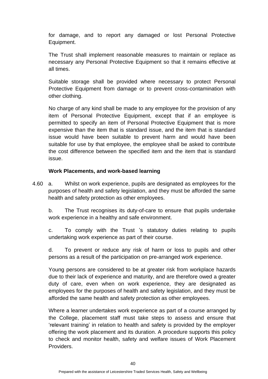for damage, and to report any damaged or lost Personal Protective Equipment.

The Trust shall implement reasonable measures to maintain or replace as necessary any Personal Protective Equipment so that it remains effective at all times.

Suitable storage shall be provided where necessary to protect Personal Protective Equipment from damage or to prevent cross-contamination with other clothing.

No charge of any kind shall be made to any employee for the provision of any item of Personal Protective Equipment, except that if an employee is permitted to specify an item of Personal Protective Equipment that is more expensive than the item that is standard issue, and the item that is standard issue would have been suitable to prevent harm and would have been suitable for use by that employee, the employee shall be asked to contribute the cost difference between the specified item and the item that is standard issue.

#### **Work Placements, and work-based learning**

4.60 a. Whilst on work experience, pupils are designated as employees for the purposes of health and safety legislation, and they must be afforded the same health and safety protection as other employees.

b. The Trust recognises its duty-of-care to ensure that pupils undertake work experience in a healthy and safe environment.

c. To comply with the Trust 's statutory duties relating to pupils undertaking work experience as part of their course.

d. To prevent or reduce any risk of harm or loss to pupils and other persons as a result of the participation on pre-arranged work experience.

Young persons are considered to be at greater risk from workplace hazards due to their lack of experience and maturity, and are therefore owed a greater duty of care, even when on work experience, they are designated as employees for the purposes of health and safety legislation, and they must be afforded the same health and safety protection as other employees.

Where a learner undertakes work experience as part of a course arranged by the College, placement staff must take steps to assess and ensure that 'relevant training' in relation to health and safety is provided by the employer offering the work placement and its duration. A procedure supports this policy to check and monitor health, safety and welfare issues of Work Placement Providers.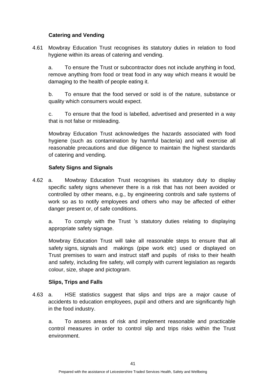#### **Catering and Vending**

4.61 Mowbray Education Trust recognises its statutory duties in relation to food hygiene within its areas of catering and vending.

a. To ensure the Trust or subcontractor does not include anything in food, remove anything from food or treat food in any way which means it would be damaging to the health of people eating it.

b. To ensure that the food served or sold is of the nature, substance or quality which consumers would expect.

c. To ensure that the food is labelled, advertised and presented in a way that is not false or misleading.

Mowbray Education Trust acknowledges the hazards associated with food hygiene (such as contamination by harmful bacteria) and will exercise all reasonable precautions and due diligence to maintain the highest standards of catering and vending.

#### **Safety Signs and Signals**

4.62 a. Mowbray Education Trust recognises its statutory duty to display specific safety signs whenever there is a risk that has not been avoided or controlled by other means, e.g., by engineering controls and safe systems of work so as to notify employees and others who may be affected of either danger present or, of safe conditions.

a. To comply with the Trust 's statutory duties relating to displaying appropriate safety signage.

Mowbray Education Trust will take all reasonable steps to ensure that all safety signs, signals and makings (pipe work etc) used or displayed on Trust premises to warn and instruct staff and pupils of risks to their health and safety, including fire safety, will comply with current legislation as regards colour, size, shape and pictogram.

#### **Slips, Trips and Falls**

4.63 a. HSE statistics suggest that slips and trips are a major cause of accidents to education employees, pupil and others and are significantly high in the food industry.

a. To assess areas of risk and implement reasonable and practicable control measures in order to control slip and trips risks within the Trust environment.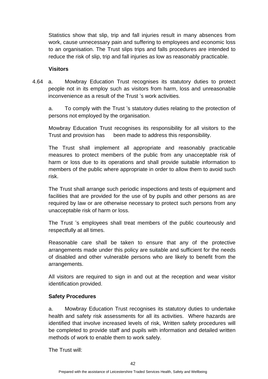Statistics show that slip, trip and fall injuries result in many absences from work, cause unnecessary pain and suffering to employees and economic loss to an organisation. The Trust slips trips and falls procedures are intended to reduce the risk of slip, trip and fall injuries as low as reasonably practicable.

#### **Visitors**

4.64 a. Mowbray Education Trust recognises its statutory duties to protect people not in its employ such as visitors from harm, loss and unreasonable inconvenience as a result of the Trust 's work activities.

a. To comply with the Trust 's statutory duties relating to the protection of persons not employed by the organisation.

Mowbray Education Trust recognises its responsibility for all visitors to the Trust and provision has been made to address this responsibility.

The Trust shall implement all appropriate and reasonably practicable measures to protect members of the public from any unacceptable risk of harm or loss due to its operations and shall provide suitable information to members of the public where appropriate in order to allow them to avoid such risk.

The Trust shall arrange such periodic inspections and tests of equipment and facilities that are provided for the use of by pupils and other persons as are required by law or are otherwise necessary to protect such persons from any unacceptable risk of harm or loss.

The Trust 's employees shall treat members of the public courteously and respectfully at all times.

Reasonable care shall be taken to ensure that any of the protective arrangements made under this policy are suitable and sufficient for the needs of disabled and other vulnerable persons who are likely to benefit from the arrangements.

All visitors are required to sign in and out at the reception and wear visitor identification provided.

#### **Safety Procedures**

a. Mowbray Education Trust recognises its statutory duties to undertake health and safety risk assessments for all its activities. Where hazards are identified that involve increased levels of risk, Written safety procedures will be completed to provide staff and pupils with information and detailed written methods of work to enable them to work safely.

The Trust will: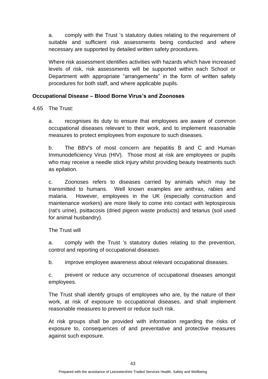a. comply with the Trust 's statutory duties relating to the requirement of suitable and sufficient risk assessments being conducted and where necessary are supported by detailed written safety procedures.

Where risk assessment identifies activities with hazards which have increased levels of risk, risk assessments will be supported within each School or Department with appropriate "arrangements" in the form of written safety procedures for both staff, and where applicable pupils.

#### **Occupational Disease – Blood Borne Virus's and Zoonoses**

4.65 The Trust:

a. recognises its duty to ensure that employees are aware of common occupational diseases relevant to their work, and to implement reasonable measures to protect employees from exposure to such diseases.

b. The BBV's of most concern are hepatitis B and C and Human Immunodeficiency Virus (HIV). Those most at risk are employees or pupils who may receive a needle stick injury whilst providing beauty treatments such as epilation.

c. Zoonoses refers to diseases carried by animals which may be transmitted to humans. Well known examples are anthrax, rabies and malaria. However, employees in the UK (especially construction and maintenance workers) are more likely to come into contact with leptospirosis (rat's urine), psittacosis (dried pigeon waste products) and tetanus (soil used for animal husbandry).

The Trust will

a. comply with the Trust 's statutory duties relating to the prevention, control and reporting of occupational diseases.

b. improve employee awareness about relevant occupational diseases.

c. prevent or reduce any occurrence of occupational diseases amongst employees.

The Trust shall identify groups of employees who are, by the nature of their work, at risk of exposure to occupational diseases, and shall implement reasonable measures to prevent or reduce such risk.

At risk groups shall be provided with information regarding the risks of exposure to, consequences of and preventative and protective measures against such exposure.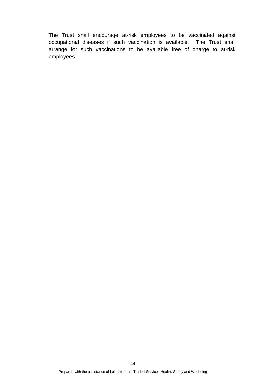The Trust shall encourage at-risk employees to be vaccinated against occupational diseases if such vaccination is available. The Trust shall arrange for such vaccinations to be available free of charge to at-risk employees.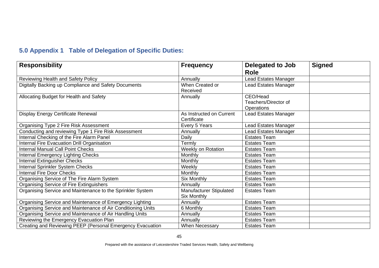# **5.0 Appendix 1 Table of Delegation of Specific Duties:**

| <b>Responsibility</b>                                        | <b>Frequency</b>                        | Delegated to Job<br><b>Role</b>                | <b>Signed</b> |
|--------------------------------------------------------------|-----------------------------------------|------------------------------------------------|---------------|
| Reviewing Health and Safety Policy                           | Annually                                | <b>Lead Estates Manager</b>                    |               |
| Digitally Backing up Compliance and Safety Documents         | When Created or<br>Received             | <b>Lead Estates Manager</b>                    |               |
| Allocating Budget for Health and Safety                      | Annually                                | CEO/Head<br>Teachers/Director of<br>Operations |               |
| Display Energy Certificate Renewal                           | As Instructed on Current<br>Certificate | <b>Lead Estates Manager</b>                    |               |
| Organising Type 2 Fire Risk Assessment                       | Every 5 Years                           | Lead Estates Manager                           |               |
| Conducting and reviewing Type 1 Fire Risk Assessment         | Annually                                | Lead Estates Manager                           |               |
| Internal Checking of the Fire Alarm Panel                    | Daily                                   | <b>Estates Team</b>                            |               |
| Internal Fire Evacuation Drill Organisation                  | Termly                                  | <b>Estates Team</b>                            |               |
| Internal Manual Call Point Checks                            | Weekly on Rotation                      | <b>Estates Team</b>                            |               |
| <b>Internal Emergency Lighting Checks</b>                    | Monthly                                 | <b>Estates Team</b>                            |               |
| Internal Extinguisher Checks                                 | Monthly                                 | <b>Estates Team</b>                            |               |
| Internal Sprinkler System Checks                             | Weekly                                  | <b>Estates Team</b>                            |               |
| <b>Internal Fire Door Checks</b>                             | Monthly                                 | <b>Estates Team</b>                            |               |
| Organising Service of The Fire Alarm System                  | Six Monthly                             | <b>Estates Team</b>                            |               |
| Organising Service of Fire Extinguishers                     | Annually                                | <b>Estates Team</b>                            |               |
| Organising Service and Maintenance to the Sprinkler System   | Manufacturer Stipulated<br>Six Monthly  | <b>Estates Team</b>                            |               |
| Organising Service and Maintenance of Emergency Lighting     | Annually                                | <b>Estates Team</b>                            |               |
| Organising Service and Maintenance of Air Conditioning Units | 6 Monthly                               | <b>Estates Team</b>                            |               |
| Organising Service and Maintenance of Air Handling Units     | Annually                                | <b>Estates Team</b>                            |               |
| Reviewing the Emergency Evacuation Plan                      | Annually                                | <b>Estates Team</b>                            |               |
| Creating and Reviewing PEEP (Personal Emergency Evacuation   | <b>When Necessary</b>                   | <b>Estates Team</b>                            |               |

Prepared with the assistance of Leicestershire Traded Services Health, Safety and Wellbeing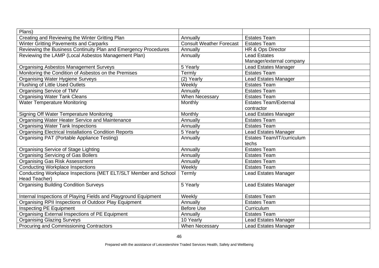| Plans)                                                          |                                 |                              |  |
|-----------------------------------------------------------------|---------------------------------|------------------------------|--|
| Creating and Reviewing the Winter Gritting Plan                 | Annually                        | <b>Estates Team</b>          |  |
| Winter Gritting Pavements and Carparks                          | <b>Consult Weather Forecast</b> | <b>Estates Team</b>          |  |
| Reviewing the Business Continuity Plan and Emergency Procedures | Annually                        | HR & Ops Director            |  |
| Reviewing the LAMP (Local Asbestos Management Plan)             | Annually                        | <b>Lead Estates</b>          |  |
|                                                                 |                                 | Manager/external company     |  |
| <b>Organising Asbestos Management Surveys</b>                   | 5 Yearly                        | <b>Lead Estates Manager</b>  |  |
| Monitoring the Condition of Asbestos on the Premises            | Termly                          | <b>Estates Team</b>          |  |
| <b>Organising Water Hygiene Surveys</b>                         | (2) Yearly                      | <b>Lead Estates Manager</b>  |  |
| Flushing of Little Used Outlets                                 | Weekly                          | <b>Estates Team</b>          |  |
| <b>Organising Service of TMV</b>                                | Annually                        | <b>Estates Team</b>          |  |
| <b>Organising Water Tank Cleans</b>                             | <b>When Necessary</b>           | <b>Estates Team</b>          |  |
| <b>Water Temperature Monitoring</b>                             | Monthly                         | <b>Estates Team/External</b> |  |
|                                                                 |                                 | contractor                   |  |
| <b>Signing Off Water Temperature Monitoring</b>                 | Monthly                         | <b>Lead Estates Manager</b>  |  |
| Organising Water Heater Service and Maintenance                 | Annually                        | <b>Estates Team</b>          |  |
| <b>Organising Water Tank Inspections</b>                        | Annually                        | <b>Estates Team</b>          |  |
| <b>Organising Electrical Installations Condition Reports</b>    | 5 Yearly                        | <b>Lead Estates Manager</b>  |  |
| Organising PAT (Portable Appliance Testing)                     | Annually                        | Estates Team/IT/curriculum   |  |
|                                                                 |                                 | techs                        |  |
| Organising Service of Stage Lighting                            | Annually                        | <b>Estates Team</b>          |  |
| <b>Organising Servicing of Gas Boilers</b>                      | Annually                        | <b>Estates Team</b>          |  |
| <b>Organising Gas Risk Assessment</b>                           | Annually                        | <b>Estates Team</b>          |  |
| <b>Conducting Workplace Inspections</b>                         | Weekly                          | <b>Estates Team</b>          |  |
| Conducting Workplace Inspections (MET ELT/SLT Member and School | Termly                          | <b>Lead Estates Manager</b>  |  |
| Head Teacher)                                                   |                                 |                              |  |
| <b>Organising Building Condition Surveys</b>                    | 5 Yearly                        | <b>Lead Estates Manager</b>  |  |
|                                                                 |                                 |                              |  |
| Internal Inspections of Playing Fields and Playground Equipment | Weekly                          | <b>Estates Team</b>          |  |
| Organising RPII Inspections of Outdoor Play Equipment           | Annually                        | <b>Estates Team</b>          |  |
| Inspecting PE Equipment                                         | <b>Before Use</b>               | Curriculum                   |  |
| Organising External Inspections of PE Equipment                 | Annually                        | <b>Estates Team</b>          |  |
| <b>Organising Glazing Surveys</b>                               | 10 Yearly                       | Lead Estates Manager         |  |
| Procuring and Commissioning Contractors                         | <b>When Necessary</b>           | <b>Lead Estates Manager</b>  |  |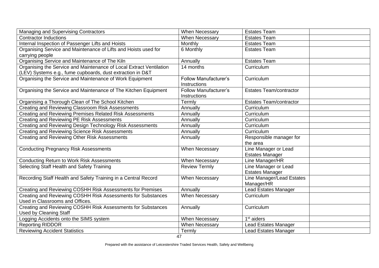| <b>Managing and Supervising Contractors</b>                         | <b>When Necessary</b>        | <b>Estates Team</b>            |  |
|---------------------------------------------------------------------|------------------------------|--------------------------------|--|
| <b>Contractor Inductions</b>                                        | <b>When Necessary</b>        | <b>Estates Team</b>            |  |
| Internal Inspection of Passenger Lifts and Hoists                   | <b>Monthly</b>               | <b>Estates Team</b>            |  |
| Organising Service and Maintenance of Lifts and Hoists used for     | 6 Monthly                    | <b>Estates Team</b>            |  |
| carrying people                                                     |                              |                                |  |
| Organising Service and Maintenance of The Kiln                      | Annually                     | <b>Estates Team</b>            |  |
| Organising the Service and Maintenance of Local Extract Ventilation | 14 months                    | Curriculum                     |  |
| (LEV) Systems e.g., fume cupboards, dust extraction in D&T          |                              |                                |  |
| Organising the Service and Maintenance of Work Equipment            | <b>Follow Manufacturer's</b> | Curriculum                     |  |
|                                                                     | Instructions                 |                                |  |
| Organising the Service and Maintenance of The Kitchen Equipment     | <b>Follow Manufacturer's</b> | <b>Estates Team/contractor</b> |  |
|                                                                     | Instructions                 |                                |  |
| Organising a Thorough Clean of The School Kitchen                   | Termly                       | <b>Estates Team/contractor</b> |  |
| Creating and Reviewing Classroom Risk Assessments                   | Annually                     | Curriculum                     |  |
| Creating and Reviewing Premises Related Risk Assessments            | Annually                     | Curriculum                     |  |
| <b>Creating and Reviewing PE Risk Assessments</b>                   | Annually                     | Curriculum                     |  |
| Creating and Reviewing Design Technology Risk Assessments           | Annually                     | Curriculum                     |  |
| <b>Creating and Reviewing Science Risk Assessments</b>              | Annually                     | Curriculum                     |  |
| <b>Creating and Reviewing Other Risk Assessments</b>                | Annually                     | Responsible manager for        |  |
|                                                                     |                              | the area                       |  |
| <b>Conducting Pregnancy Risk Assessments</b>                        | <b>When Necessary</b>        | Line Manager or Lead           |  |
|                                                                     |                              | <b>Estates Manager</b>         |  |
| <b>Conducting Return to Work Risk Assessments</b>                   | When Necessary               | Line Manager/HR                |  |
| Selecting Staff Health and Safety Training                          | <b>Review Termly</b>         | Line Manager or Lead           |  |
|                                                                     |                              | <b>Estates Manager</b>         |  |
| Recording Staff Health and Safety Training in a Central Record      | When Necessary               | Line Manager/Lead Estates      |  |
|                                                                     |                              | Manager/HR                     |  |
| Creating and Reviewing COSHH Risk Assessments for Premises          | Annually                     | Lead Estates Manager           |  |
| Creating and Reviewing COSHH Risk Assessments for Substances        | When Necessary               | Curriculum                     |  |
| Used in Classrooms and Offices.                                     |                              |                                |  |
| Creating and Reviewing COSHH Risk Assessments for Substances        | Annually                     | Curriculum                     |  |
| <b>Used by Cleaning Staff</b>                                       |                              |                                |  |
| Logging Accidents onto the SIMS system                              | When Necessary               | $1st$ aiders                   |  |
| <b>Reporting RIDDOR</b>                                             | When Necessary               | <b>Lead Estates Manager</b>    |  |
| <b>Reviewing Accident Statistics</b>                                | Termly                       | <b>Lead Estates Manager</b>    |  |
|                                                                     | 47                           |                                |  |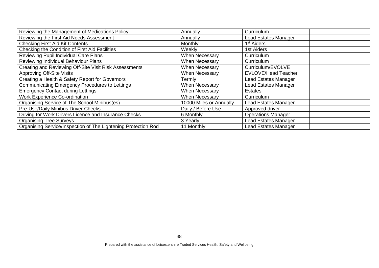| Reviewing the Management of Medications Policy                 | Annually                | Curriculum                  |
|----------------------------------------------------------------|-------------------------|-----------------------------|
| Reviewing the First Aid Needs Assessment                       | Annually                | <b>Lead Estates Manager</b> |
| <b>Checking First Aid Kit Contents</b>                         | Monthly                 | 1 <sup>st</sup> Aiders      |
| Checking the Condition of First Aid Facilities                 | Weekly                  | 1st Aiders                  |
| Reviewing Pupil Individual Care Plans                          | <b>When Necessary</b>   | Curriculum                  |
| Reviewing Individual Behaviour Plans                           | <b>When Necessary</b>   | Curriculum                  |
| Creating and Reviewing Off-Site Visit Risk Assessments         | When Necessary          | Curriculum/EVOLVE           |
| <b>Approving Off-Site Visits</b>                               | <b>When Necessary</b>   | <b>EVLOVE/Head Teacher</b>  |
| Creating a Health & Safety Report for Governors                | Γerml∨                  | Lead Estates Manager        |
| Communicating Emergency Procedures to Lettings                 | <b>When Necessary</b>   | <b>Lead Estates Manager</b> |
| <b>Emergency Contact during Lettings</b>                       | <b>When Necessary</b>   | <b>Estates</b>              |
| <b>Work Experience Co-ordination</b>                           | When Necessary          | Curriculum                  |
| Organising Service of The School Minibus(es)                   | 10000 Miles or Annually | Lead Estates Manager        |
| Pre-Use/Daily Minibus Driver Checks                            | Daily / Before Use      | Approved driver             |
| Driving for Work Drivers Licence and Insurance Checks          | 6 Monthly               | <b>Operations Manager</b>   |
| <b>Organising Tree Surveys</b>                                 | 3 Yearly                | <b>Lead Estates Manager</b> |
| Organising Service/Inspection of The Lightening Protection Rod | 11 Monthly              | Lead Estates Manager        |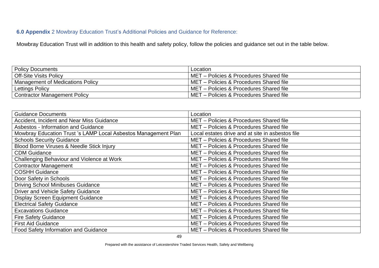#### **6.0 Appendix** 2 Mowbray Education Trust's Additional Policies and Guidance for Reference:

Mowbray Education Trust will in addition to this health and safety policy, follow the policies and guidance set out in the table below.

| <b>Policy Documents</b>                 | Location                                  |
|-----------------------------------------|-------------------------------------------|
| <b>Off-Site Visits Policy</b>           | I MET - Policies & Procedures Shared file |
| <b>Management of Medications Policy</b> | I MET - Policies & Procedures Shared file |
| Lettings Policy                         | l MET – Policies & Procedures Shared file |
| <b>Contractor Management Policy</b>     | MET – Policies & Procedures Shared file   |

| <b>Guidance Documents</b>                                      | Location                                         |
|----------------------------------------------------------------|--------------------------------------------------|
| Accident, Incident and Near Miss Guidance                      | MET - Policies & Procedures Shared file          |
| <b>Asbestos - Information and Guidance</b>                     | MET - Policies & Procedures Shared file          |
| Mowbray Education Trust 's LAMP Local Asbestos Management Plan | Local estates drive and at site in asbestos file |
| <b>Schools Security Guidance</b>                               | MET - Policies & Procedures Shared file          |
| Blood Borne Viruses & Needle Stick Injury                      | MET - Policies & Procedures Shared file          |
| <b>CDM Guidance</b>                                            | MET - Policies & Procedures Shared file          |
| Challenging Behaviour and Violence at Work                     | MET - Policies & Procedures Shared file          |
| <b>Contractor Management</b>                                   | MET - Policies & Procedures Shared file          |
| <b>COSHH Guidance</b>                                          | MET - Policies & Procedures Shared file          |
| Door Safety in Schools                                         | MET - Policies & Procedures Shared file          |
| <b>Driving School Minibuses Guidance</b>                       | MET - Policies & Procedures Shared file          |
| Driver and Vehicle Safety Guidance                             | MET - Policies & Procedures Shared file          |
| <b>Display Screen Equipment Guidance</b>                       | MET - Policies & Procedures Shared file          |
| <b>Electrical Safety Guidance</b>                              | MET - Policies & Procedures Shared file          |
| <b>Excavations Guidance</b>                                    | MET - Policies & Procedures Shared file          |
| <b>Fire Safety Guidance</b>                                    | MET - Policies & Procedures Shared file          |
| <b>First Aid Guidance</b>                                      | MET - Policies & Procedures Shared file          |
| <b>Food Safety Information and Guidance</b>                    | MET - Policies & Procedures Shared file          |

Prepared with the assistance of Leicestershire Traded Services Health, Safety and Wellbeing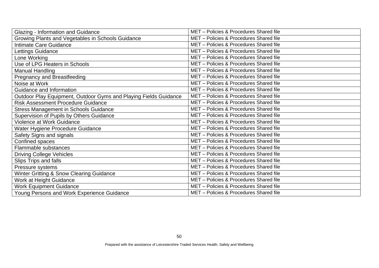| Glazing - Information and Guidance                               | MET - Policies & Procedures Shared file |
|------------------------------------------------------------------|-----------------------------------------|
| Growing Plants and Vegetables in Schools Guidance                | MET - Policies & Procedures Shared file |
| Intimate Care Guidance                                           | MET - Policies & Procedures Shared file |
| Lettings Guidance                                                | MET - Policies & Procedures Shared file |
| Lone Working                                                     | MET - Policies & Procedures Shared file |
| Use of LPG Heaters in Schools                                    | MET - Policies & Procedures Shared file |
| Manual Handling                                                  | MET - Policies & Procedures Shared file |
| <b>Pregnancy and Breastfeeding</b>                               | MET - Policies & Procedures Shared file |
| Noise at Work                                                    | MET - Policies & Procedures Shared file |
| Guidance and Information                                         | MET - Policies & Procedures Shared file |
| Outdoor Play Equipment, Outdoor Gyms and Playing Fields Guidance | MET - Policies & Procedures Shared file |
| <b>Risk Assessment Procedure Guidance</b>                        | MET - Policies & Procedures Shared file |
| <b>Stress Management in Schools Guidance</b>                     | MET - Policies & Procedures Shared file |
| Supervision of Pupils by Others Guidance                         | MET - Policies & Procedures Shared file |
| <b>Violence at Work Guidance</b>                                 | MET - Policies & Procedures Shared file |
| Water Hygiene Procedure Guidance                                 | MET - Policies & Procedures Shared file |
| Safety Signs and signals                                         | MET - Policies & Procedures Shared file |
| Confined spaces                                                  | MET - Policies & Procedures Shared file |
| Flammable substances                                             | MET - Policies & Procedures Shared file |
| <b>Driving College Vehicles</b>                                  | MET - Policies & Procedures Shared file |
| Slips Trips and falls                                            | MET - Policies & Procedures Shared file |
| Pressure systems                                                 | MET - Policies & Procedures Shared file |
| Winter Gritting & Snow Clearing Guidance                         | MET - Policies & Procedures Shared file |
| Work at Height Guidance                                          | MET - Policies & Procedures Shared file |
| <b>Work Equipment Guidance</b>                                   | MET - Policies & Procedures Shared file |
| Young Persons and Work Experience Guidance                       | MET - Policies & Procedures Shared file |